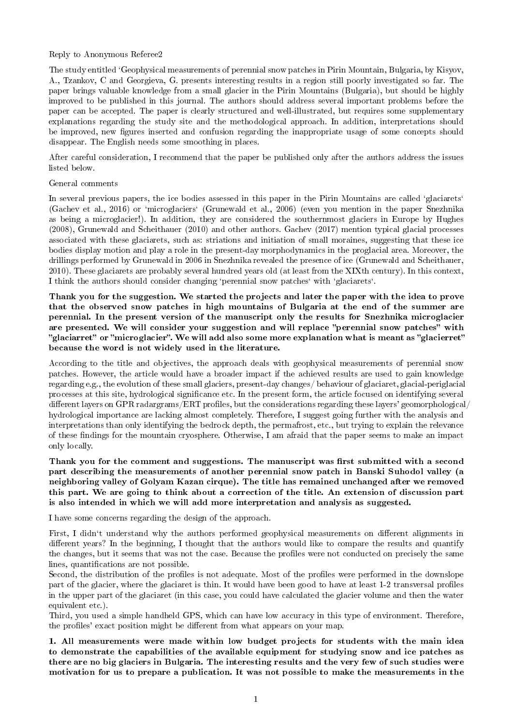#### Reply to Anonymous Referee2

The study entitled `Geophysical measurements of perennial snow patches in Pirin Mountain, Bulgaria, by Kisyov, A., Tzankov, C and Georgieva, G. presents interesting results in a region still poorly investigated so far. The paper brings valuable knowledge from a small glacier in the Pirin Mountains (Bulgaria), but should be highly improved to be published in this journal. The authors should address several important problems before the paper can be accepted. The paper is clearly structured and well-illustrated, but requires some supplementary explanations regarding the study site and the methodological approach. In addition, interpretations should be improved, new figures inserted and confusion regarding the inappropriate usage of some concepts should disappear. The English needs some smoothing in places.

After careful consideration, I recommend that the paper be published only after the authors address the issues listed below.

#### General comments

In several previous papers, the ice bodies assessed in this paper in the Pirin Mountains are called 'glaciarets' (Gachev et al., 2016) or `microglaciers` (Grunewald et al., 2006) (even you mention in the paper Snezhnika as being a microglacier!). In addition, they are considered the southernmost glaciers in Europe by Hughes (2008), Grunewald and Scheithauer (2010) and other authors. Gachev (2017) mention typical glacial processes associated with these glaciarets, such as: striations and initiation of small moraines, suggesting that these ice bodies display motion and play a role in the present-day morphodynamics in the proglacial area. Moreover, the drillings performed by Grunewald in 2006 in Snezhnika revealed the presence of ice (Grunewald and Scheithauer, 2010). These glaciarets are probably several hundred years old (at least from the XIXth century). In this context, I think the authors should consider changing `perennial snow patches` with `glaciarets`.

Thank you for the suggestion. We started the projects and later the paper with the idea to prove that the observed snow patches in high mountains of Bulgaria at the end of the summer are perennial. In the present version of the manuscript only the results for Snezhnika microglacier are presented. We will consider your suggestion and will replace "perennial snow patches" with "glaciarret" or "microglacier". We will add also some more explanation what is meant as "glacierret" because the word is not widely used in the literature.

According to the title and objectives, the approach deals with geophysical measurements of perennial snow patches. However, the article would have a broader impact if the achieved results are used to gain knowledge regarding e.g., the evolution of these small glaciers, present-day changes/ behaviour of glaciaret, glacial-periglacial processes at this site, hydrological signicance etc. In the present form, the article focused on identifying several different layers on GPR radargrams/ERT profiles, but the considerations regarding these layers' geomorphological/ hydrological importance are lacking almost completely. Therefore, I suggest going further with the analysis and interpretations than only identifying the bedrock depth, the permafrost, etc., but trying to explain the relevance of these ndings for the mountain cryosphere. Otherwise, I am afraid that the paper seems to make an impact only locally.

Thank you for the comment and suggestions. The manuscript was first submitted with a second part describing the measurements of another perennial snow patch in Banski Suhodol valley (a neighboring valley of Golyam Kazan cirque). The title has remained unchanged after we removed this part. We are going to think about a correction of the title. An extension of discussion part is also intended in which we will add more interpretation and analysis as suggested.

I have some concerns regarding the design of the approach.

First, I didn't understand why the authors performed geophysical measurements on different alignments in different years? In the beginning, I thought that the authors would like to compare the results and quantify the changes, but it seems that was not the case. Because the profiles were not conducted on precisely the same lines, quantifications are not possible.

Second, the distribution of the profiles is not adequate. Most of the profiles were performed in the downslope part of the glacier, where the glaciaret is thin. It would have been good to have at least 1-2 transversal profiles in the upper part of the glaciaret (in this case, you could have calculated the glacier volume and then the water equivalent etc.).

Third, you used a simple handheld GPS, which can have low accuracy in this type of environment. Therefore, the profiles' exact position might be different from what appears on your map.

1. All measurements were made within low budget projects for students with the main idea to demonstrate the capabilities of the available equipment for studying snow and ice patches as there are no big glaciers in Bulgaria. The interesting results and the very few of such studies were motivation for us to prepare a publication. It was not possible to make the measurements in the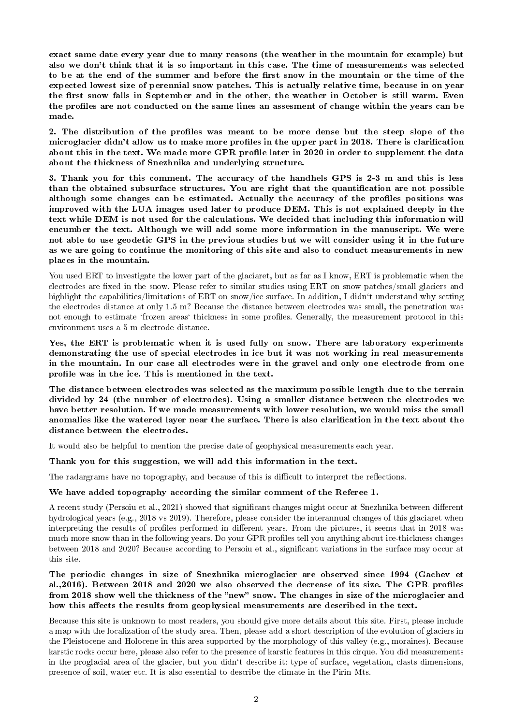exact same date every year due to many reasons (the weather in the mountain for example) but also we don't think that it is so important in this case. The time of measurements was selected to be at the end of the summer and before the first snow in the mountain or the time of the expected lowest size of perennial snow patches. This is actually relative time, because in on year the first snow falls in September and in the other, the weather in October is still warm. Even the profiles are not conducted on the same lines an assesment of change within the years can be made.

2. The distribution of the profiles was meant to be more dense but the steep slope of the microglacier didn't allow us to make more profiles in the upper part in 2018. There is clarification about this in the text. We made more GPR profile later in 2020 in order to supplement the data about the thickness of Snezhnika and underlying structure.

3. Thank you for this comment. The accuracy of the handhels GPS is 2-3 m and this is less than the obtained subsurface structures. You are right that the quantification are not possible although some changes can be estimated. Actually the accuracy of the profiles positions was improved with the LUA images used later to produce DEM. This is not explained deeply in the text while DEM is not used for the calculations. We decided that including this information will encumber the text. Although we will add some more information in the manuscript. We were not able to use geodetic GPS in the previous studies but we will consider using it in the future as we are going to continue the monitoring of this site and also to conduct measurements in new places in the mountain.

You used ERT to investigate the lower part of the glaciaret, but as far as I know, ERT is problematic when the electrodes are fixed in the snow. Please refer to similar studies using ERT on snow patches/small glaciers and highlight the capabilities/limitations of ERT on snow/ice surface. In addition, I didn<sup>'t</sup> understand why setting the electrodes distance at only 1.5 m? Because the distance between electrodes was small, the penetration was not enough to estimate 'frozen areas' thickness in some profiles. Generally, the measurement protocol in this environment uses a 5 m electrode distance.

Yes, the ERT is problematic when it is used fully on snow. There are laboratory experiments demonstrating the use of special electrodes in ice but it was not working in real measurements in the mountain. In our case all electrodes were in the gravel and only one electrode from one profile was in the ice. This is mentioned in the text.

The distance between electrodes was selected as the maximum possible length due to the terrain divided by 24 (the number of electrodes). Using a smaller distance between the electrodes we have better resolution. If we made measurements with lower resolution, we would miss the small anomalies like the watered layer near the surface. There is also clarification in the text about the distance between the electrodes.

It would also be helpful to mention the precise date of geophysical measurements each year.

Thank you for this suggestion, we will add this information in the text.

The radargrams have no topography, and because of this is difficult to interpret the reflections.

## We have added topography according the similar comment of the Referee 1.

A recent study (Persoiu et al., 2021) showed that significant changes might occur at Snezhnika between different hydrological years (e.g., 2018 vs 2019). Therefore, please consider the interannual changes of this glaciaret when interpreting the results of profiles performed in different years. From the pictures, it seems that in 2018 was much more snow than in the following years. Do your GPR profiles tell you anything about ice-thickness changes between 2018 and 2020? Because according to Persoiu et al., significant variations in the surface may occur at this site.

The periodic changes in size of Snezhnika microglacier are observed since 1994 (Gachev et al.,2016). Between 2018 and 2020 we also observed the decrease of its size. The GPR profiles from 2018 show well the thickness of the "new" snow. The changes in size of the microglacier and how this affects the results from geophysical measurements are described in the text.

Because this site is unknown to most readers, you should give more details about this site. First, please include a map with the localization of the study area. Then, please add a short description of the evolution of glaciers in the Pleistocene and Holocene in this area supported by the morphology of this valley (e.g., moraines). Because karstic rocks occur here, please also refer to the presence of karstic features in this cirque. You did measurements in the proglacial area of the glacier, but you didn<sup>'t</sup> describe it: type of surface, vegetation, clasts dimensions, presence of soil, water etc. It is also essential to describe the climate in the Pirin Mts.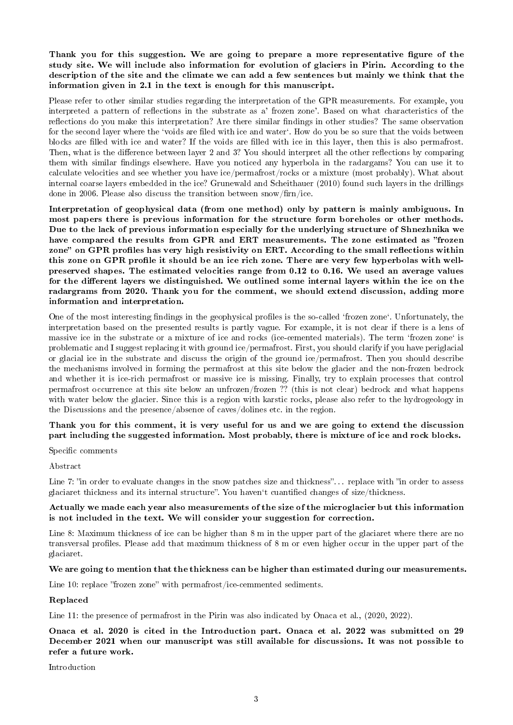# Thank you for this suggestion. We are going to prepare a more representative figure of the study site. We will include also information for evolution of glaciers in Pirin. According to the description of the site and the climate we can add a few sentences but mainly we think that the information given in 2.1 in the text is enough for this manuscript.

Please refer to other similar studies regarding the interpretation of the GPR measurements. For example, you interpreted a pattern of reflections in the substrate as a' frozen zone'. Based on what characteristics of the reflections do you make this interpretation? Are there similar findings in other studies? The same observation for the second layer where the 'voids are filed with ice and water'. How do you be so sure that the voids between blocks are filled with ice and water? If the voids are filled with ice in this layer, then this is also permafrost. Then, what is the difference between layer 2 and 3? You should interpret all the other reflections by comparing them with similar findings elsewhere. Have you noticed any hyperbola in the radargams? You can use it to calculate velocities and see whether you have ice/permafrost/rocks or a mixture (most probably). What about internal coarse layers embedded in the ice? Grunewald and Scheithauer (2010) found such layers in the drillings done in 2006. Please also discuss the transition between snow/firm/ice.

Interpretation of geophysical data (from one method) only by pattern is mainly ambiguous. In most papers there is previous information for the structure form boreholes or other methods. Due to the lack of previous information especially for the underlying structure of Shnezhnika we have compared the results from GPR and ERT measurements. The zone estimated as "frozen zone" on GPR profiles has very high resistivity on ERT. According to the small reflections within this zone on GPR profile it should be an ice rich zone. There are very few hyperbolas with wellpreserved shapes. The estimated velocities range from 0.12 to 0.16. We used an average values for the different layers we distinguished. We outlined some internal layers within the ice on the radargrams from 2020. Thank you for the comment, we should extend discussion, adding more information and interpretation.

One of the most interesting findings in the geophysical profiles is the so-called 'frozen zone'. Unfortunately, the interpretation based on the presented results is partly vague. For example, it is not clear if there is a lens of massive ice in the substrate or a mixture of ice and rocks (ice-cemented materials). The term 'frozen zone' is problematic and I suggest replacing it with ground ice/permafrost. First, you should clarify if you have periglacial or glacial ice in the substrate and discuss the origin of the ground ice/permafrost. Then you should describe the mechanisms involved in forming the permafrost at this site below the glacier and the non-frozen bedrock and whether it is ice-rich permafrost or massive ice is missing. Finally, try to explain processes that control permafrost occurrence at this site below an unfrozen/frozen ?? (this is not clear) bedrock and what happens with water below the glacier. Since this is a region with karstic rocks, please also refer to the hydrogeology in the Discussions and the presence/absence of caves/dolines etc. in the region.

# Thank you for this comment, it is very useful for us and we are going to extend the discussion part including the suggested information. Most probably, there is mixture of ice and rock blocks.

Specific comments

Abstract

Line 7: "in order to evaluate changes in the snow patches size and thickness"... replace with "in order to assess glaciaret thickness and its internal structure". You haven't cuantified changes of size/thickness.

## Actually we made each year also measurements of the size of the microglacier but this information is not included in the text. We will consider your suggestion for correction.

Line 8: Maximum thickness of ice can be higher than 8 m in the upper part of the glaciaret where there are no transversal profiles. Please add that maximum thickness of 8 m or even higher occur in the upper part of the glaciaret.

## We are going to mention that the thickness can be higher than estimated during our measurements.

Line 10: replace "frozen zone" with permafrost/ice-cemmented sediments.

## Replaced

Line 11: the presence of permafrost in the Pirin was also indicated by Onaca et al., (2020, 2022).

Onaca et al. 2020 is cited in the Introduction part. Onaca et al. 2022 was submitted on 29 December 2021 when our manuscript was still available for discussions. It was not possible to refer a future work.

Introduction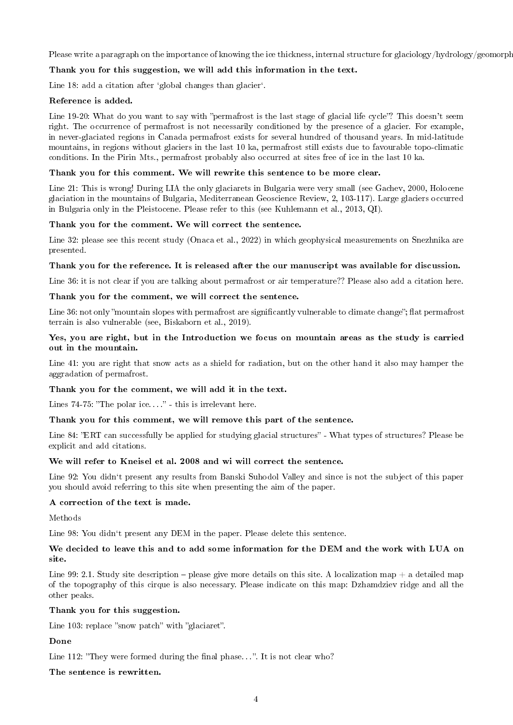Please write a paragraph on the importance of knowing the ice thickness, internal structure for glaciology/hydrology/geomorphology.

# Thank you for this suggestion, we will add this information in the text.

Line 18: add a citation after 'global changes than glacier'.

## Reference is added.

Line 19-20: What do you want to say with "permafrost is the last stage of glacial life cycle"? This doesn't seem right. The occurrence of permafrost is not necessarily conditioned by the presence of a glacier. For example, in never-glaciated regions in Canada permafrost exists for several hundred of thousand years. In mid-latitude mountains, in regions without glaciers in the last 10 ka, permafrost still exists due to favourable topo-climatic conditions. In the Pirin Mts., permafrost probably also occurred at sites free of ice in the last 10 ka.

## Thank you for this comment. We will rewrite this sentence to be more clear.

Line 21: This is wrong! During LIA the only glaciarets in Bulgaria were very small (see Gachev, 2000, Holocene glaciation in the mountains of Bulgaria, Mediterranean Geoscience Review, 2, 103-117). Large glaciers occurred in Bulgaria only in the Pleistocene. Please refer to this (see Kuhlemann et al., 2013, QI).

## Thank you for the comment. We will correct the sentence.

Line 32: please see this recent study (Onaca et al., 2022) in which geophysical measurements on Snezhnika are presented.

# Thank you for the reference. It is released after the our manuscript was available for discussion.

Line 36: it is not clear if you are talking about permafrost or air temperature?? Please also add a citation here.

# Thank you for the comment, we will correct the sentence.

Line 36: not only "mountain slopes with permafrost are significantly vulnerable to climate change"; flat permafrost terrain is also vulnerable (see, Biskaborn et al., 2019).

## Yes, you are right, but in the Introduction we focus on mountain areas as the study is carried out in the mountain.

Line 41: you are right that snow acts as a shield for radiation, but on the other hand it also may hamper the aggradation of permafrost.

## Thank you for the comment, we will add it in the text.

Lines  $74-75$ : "The polar ice...." - this is irrelevant here.

## Thank you for this comment, we will remove this part of the sentence.

Line 84: "ERT can successfully be applied for studying glacial structures" - What types of structures? Please be explicit and add citations.

## We will refer to Kneisel et al. 2008 and wi will correct the sentence.

Line 92: You didn't present any results from Banski Suhodol Valley and since is not the subject of this paper you should avoid referring to this site when presenting the aim of the paper.

## A correction of the text is made.

Methods

Line 98: You didn<sup>'t</sup> present any DEM in the paper. Please delete this sentence.

# We decided to leave this and to add some information for the DEM and the work with LUA on site.

Line 99: 2.1. Study site description – please give more details on this site. A localization map  $+$  a detailed map of the topography of this cirque is also necessary. Please indicate on this map: Dzhamdziev ridge and all the other peaks.

## Thank you for this suggestion.

Line 103: replace "snow patch" with "glaciaret".

# Done

Line 112: "They were formed during the final phase...". It is not clear who?

The sentence is rewritten.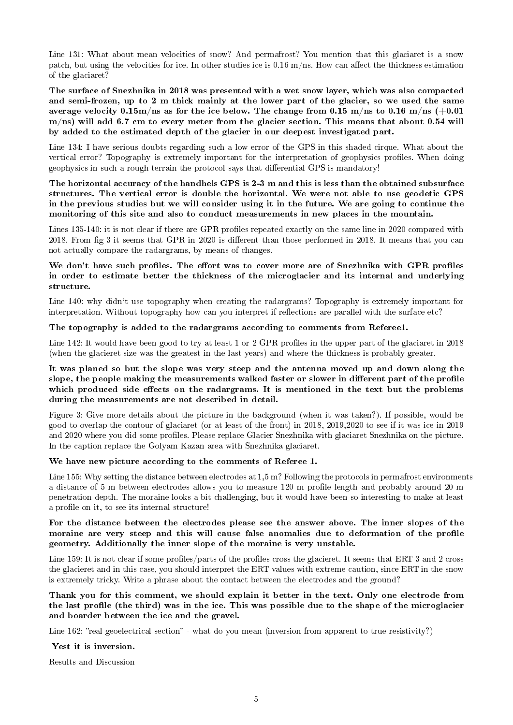Line 131: What about mean velocities of snow? And permafrost? You mention that this glaciaret is a snow patch, but using the velocities for ice. In other studies ice is  $0.16$  m/ns. How can affect the thickness estimation of the glaciaret?

The surface of Snezhnika in 2018 was presented with a wet snow layer, which was also compacted and semi-frozen, up to 2 m thick mainly at the lower part of the glacier, so we used the same average velocity 0.15m/ns as for the ice below. The change from 0.15 m/ns to 0.16 m/ns  $(+0.01)$ m/ns) will add 6.7 cm to every meter from the glacier section. This means that about 0.54 will by added to the estimated depth of the glacier in our deepest investigated part.

Line 134: I have serious doubts regarding such a low error of the GPS in this shaded cirque. What about the vertical error? Topography is extremely important for the interpretation of geophysics profiles. When doing geophysics in such a rough terrain the protocol says that dierential GPS is mandatory!

The horizontal accuracy of the handhels GPS is 2-3 m and this is less than the obtained subsurface structures. The vertical error is double the horizontal. We were not able to use geodetic GPS in the previous studies but we will consider using it in the future. We are going to continue the monitoring of this site and also to conduct measurements in new places in the mountain.

Lines 135-140: it is not clear if there are GPR profiles repeated exactly on the same line in 2020 compared with 2018. From fig 3 it seems that GPR in 2020 is different than those performed in 2018. It means that you can not actually compare the radargrams, by means of changes.

# We don't have such profiles. The effort was to cover more are of Snezhnika with GPR profiles in order to estimate better the thickness of the microglacier and its internal and underlying structure.

Line 140: why didn't use topography when creating the radargrams? Topography is extremely important for interpretation. Without topography how can you interpret if reflections are parallel with the surface etc?

#### The topography is added to the radargrams according to comments from Referee1.

Line 142: It would have been good to try at least 1 or 2 GPR profiles in the upper part of the glaciaret in 2018 (when the glacieret size was the greatest in the last years) and where the thickness is probably greater.

## It was planed so but the slope was very steep and the antenna moved up and down along the slope, the people making the measurements walked faster or slower in different part of the profile which produced side effects on the radargrams. It is mentioned in the text but the problems during the measurements are not described in detail.

Figure 3: Give more details about the picture in the background (when it was taken?). If possible, would be good to overlap the contour of glaciaret (or at least of the front) in 2018, 2019,2020 to see if it was ice in 2019 and 2020 where you did some profiles. Please replace Glacier Snezhnika with glaciaret Snezhnika on the picture. In the caption replace the Golyam Kazan area with Snezhnika glaciaret.

#### We have new picture according to the comments of Referee 1.

Line 155: Why setting the distance between electrodes at 1,5 m? Following the protocols in permafrost environments a distance of 5 m between electrodes allows you to measure 120 m prole length and probably around 20 m penetration depth. The moraine looks a bit challenging, but it would have been so interesting to make at least a profile on it, to see its internal structure!

## For the distance between the electrodes please see the answer above. The inner slopes of the moraine are very steep and this will cause false anomalies due to deformation of the profile geometry. Additionally the inner slope of the moraine is very unstable.

Line 159: It is not clear if some profiles/parts of the profiles cross the glacieret. It seems that ERT 3 and 2 cross the glacieret and in this case, you should interpret the ERT values with extreme caution, since ERT in the snow is extremely tricky. Write a phrase about the contact between the electrodes and the ground?

## Thank you for this comment, we should explain it better in the text. Only one electrode from the last profile (the third) was in the ice. This was possible due to the shape of the microglacier and boarder between the ice and the gravel.

Line 162: "real geoelectrical section" - what do you mean (inversion from apparent to true resistivity?)

#### Yest it is inversion.

Results and Discussion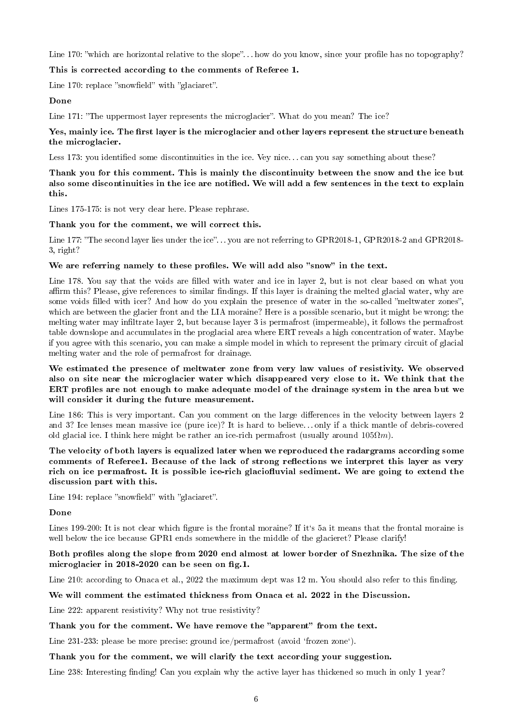Line 170: "which are horizontal relative to the slope"... how do you know, since your profile has no topography?

#### This is corrected according to the comments of Referee 1.

Line  $170$ : replace "snowfield" with "glaciaret".

#### Done

Line 171: "The uppermost layer represents the microglacier". What do you mean? The ice?

#### Yes, mainly ice. The first layer is the microglacier and other layers represent the structure beneath the microglacier.

Less 173: you identified some discontinuities in the ice. Vey nice... can you say something about these?

## Thank you for this comment. This is mainly the discontinuity between the snow and the ice but also some discontinuities in the ice are notified. We will add a few sentences in the text to explain this.

Lines 175-175: is not very clear here. Please rephrase.

#### Thank you for the comment, we will correct this.

Line 177: "The second layer lies under the ice"... you are not referring to GPR2018-1, GPR2018-2 and GPR2018-3, right?

#### We are referring namely to these profiles. We will add also "snow" in the text.

Line 178. You say that the voids are filled with water and ice in layer 2, but is not clear based on what you affirm this? Please, give references to similar findings. If this layer is draining the melted glacial water, why are some voids filled with icer? And how do you explain the presence of water in the so-called "meltwater zones", which are between the glacier front and the LIA moraine? Here is a possible scenario, but it might be wrong: the melting water may inltrate layer 2, but because layer 3 is permafrost (impermeable), it follows the permafrost table downslope and accumulates in the proglacial area where ERT reveals a high concentration of water. Maybe if you agree with this scenario, you can make a simple model in which to represent the primary circuit of glacial melting water and the role of permafrost for drainage.

## We estimated the presence of meltwater zone from very law values of resistivity. We observed also on site near the microglacier water which disappeared very close to it. We think that the ERT profiles are not enough to make adequate model of the drainage system in the area but we will consider it during the future measurement.

Line 186: This is very important. Can you comment on the large differences in the velocity between layers 2 and 3? Ice lenses mean massive ice (pure ice)? It is hard to believe. . . only if a thick mantle of debris-covered old glacial ice. I think here might be rather an ice-rich permafrost (usually around  $105\Omega m$ ).

## The velocity of both layers is equalized later when we reproduced the radargrams according some comments of Referee1. Because of the lack of strong reflections we interpret this layer as very rich on ice permafrost. It is possible ice-rich glaciofluvial sediment. We are going to extend the discussion part with this.

Line 194: replace "snowfield" with "glaciaret".

#### Done

Lines 199-200: It is not clear which figure is the frontal moraine? If it's 5a it means that the frontal moraine is well below the ice because GPR1 ends somewhere in the middle of the glacieret? Please clarify!

## Both profiles along the slope from 2020 end almost at lower border of Snezhnika. The size of the microglacier in  $2018-2020$  can be seen on fig.1.

Line 210: according to Onaca et al.,  $2022$  the maximum dept was 12 m. You should also refer to this finding.

#### We will comment the estimated thickness from Onaca et al. 2022 in the Discussion.

Line 222: apparent resistivity? Why not true resistivity?

#### Thank you for the comment. We have remove the "apparent" from the text.

Line 231-233: please be more precise: ground ice/permafrost (avoid 'frozen zone').

#### Thank you for the comment, we will clarify the text according your suggestion.

Line 238: Interesting finding! Can you explain why the active layer has thickened so much in only 1 year?